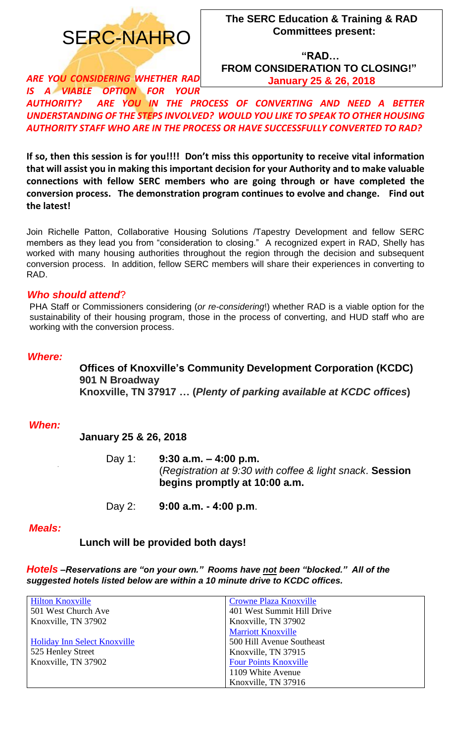

**"RAD… FROM CONSIDERATION TO CLOSING!" January 25 & 26, 2018**

*ARE YOU CONSIDERING WHETHER RAD IS A VIABLE OPTION FOR YOUR* 

*AUTHORITY? ARE YOU IN THE PROCESS OF CONVERTING AND NEED A BETTER UNDERSTANDING OF THE STEPS INVOLVED? WOULD YOU LIKE TO SPEAK TO OTHER HOUSING AUTHORITY STAFF WHO ARE IN THE PROCESS OR HAVE SUCCESSFULLY CONVERTED TO RAD?*

**If so, then this session is for you!!!! Don't miss this opportunity to receive vital information that will assist you in making this important decision for your Authority and to make valuable connections with fellow SERC members who are going through or have completed the conversion process. The demonstration program continues to evolve and change. Find out the latest!**

Join Richelle Patton, Collaborative Housing Solutions /Tapestry Development and fellow SERC members as they lead you from "consideration to closing." A recognized expert in RAD, Shelly has worked with many housing authorities throughout the region through the decision and subsequent conversion process. In addition, fellow SERC members will share their experiences in converting to RAD.

#### *Who should attend*?

PHA Staff or Commissioners considering (*or re-considering*!) whether RAD is a viable option for the sustainability of their housing program, those in the process of converting, and HUD staff who are working with the conversion process.

#### *Where:*

**Offices of Knoxville's Community Development Corporation (KCDC) 901 N Broadway Knoxville, TN 37917 … (***Plenty of parking available at KCDC offices***)**

#### *When:*

**January 25 & 26, 2018** 

Day 1: **9:30 a.m. – 4:00 p.m.** (*Registration at 9:30 with coffee & light snack*. **Session begins promptly at 10:00 a.m.**

Day 2: **9:00 a.m. - 4:00 p.m**.

#### *Meals:*

**Lunch will be provided both days!**

*Hotels –Reservations are "on your own." Rooms have not been "blocked." All of the suggested hotels listed below are within a 10 minute drive to KCDC offices.* 

| <b>Hilton Knoxville</b>      | <b>Crowne Plaza Knoxville</b> |
|------------------------------|-------------------------------|
| 501 West Church Ave          | 401 West Summit Hill Drive    |
| Knoxville, TN 37902          | Knoxville, TN 37902           |
|                              | <b>Marriott Knoxville</b>     |
| Holiday Inn Select Knoxville | 500 Hill Avenue Southeast     |
| 525 Henley Street            | Knoxville, TN 37915           |
| Knoxville, TN 37902          | <b>Four Points Knoxville</b>  |
|                              | 1109 White Avenue             |
|                              | Knoxville, TN 37916           |